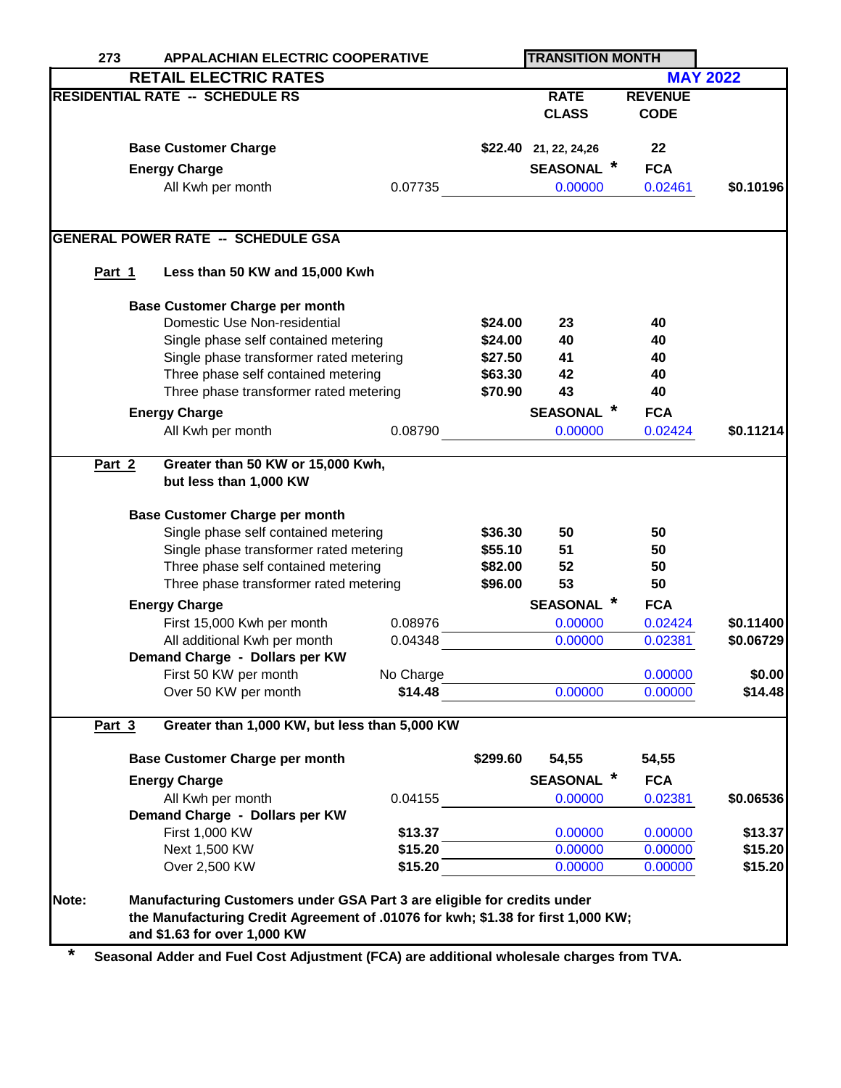| 273                                    | <b>APPALACHIAN ELECTRIC COOPERATIVE</b>                                                                         |                                                                                                                                                                                             |           | <b>TRANSITION MONTH</b> |                           |                    |                 |
|----------------------------------------|-----------------------------------------------------------------------------------------------------------------|---------------------------------------------------------------------------------------------------------------------------------------------------------------------------------------------|-----------|-------------------------|---------------------------|--------------------|-----------------|
|                                        |                                                                                                                 | <b>RETAIL ELECTRIC RATES</b>                                                                                                                                                                |           |                         |                           |                    | <b>MAY 2022</b> |
| <b>RESIDENTIAL RATE -- SCHEDULE RS</b> |                                                                                                                 |                                                                                                                                                                                             |           |                         | <b>RATE</b>               | <b>REVENUE</b>     |                 |
|                                        |                                                                                                                 |                                                                                                                                                                                             |           |                         | <b>CLASS</b>              | <b>CODE</b>        |                 |
|                                        |                                                                                                                 |                                                                                                                                                                                             |           |                         |                           |                    |                 |
|                                        | <b>Base Customer Charge</b><br><b>Energy Charge</b>                                                             |                                                                                                                                                                                             |           |                         | \$22.40 21, 22, 24, 26    | 22                 |                 |
|                                        |                                                                                                                 |                                                                                                                                                                                             |           |                         | <b>SEASONAL</b>           | <b>FCA</b>         |                 |
|                                        |                                                                                                                 | All Kwh per month                                                                                                                                                                           | 0.07735   |                         | 0.00000                   | 0.02461            | \$0.10196       |
|                                        |                                                                                                                 |                                                                                                                                                                                             |           |                         |                           |                    |                 |
|                                        |                                                                                                                 | <b>GENERAL POWER RATE -- SCHEDULE GSA</b>                                                                                                                                                   |           |                         |                           |                    |                 |
| Part 1                                 |                                                                                                                 | Less than 50 KW and 15,000 Kwh                                                                                                                                                              |           |                         |                           |                    |                 |
|                                        |                                                                                                                 | <b>Base Customer Charge per month</b>                                                                                                                                                       |           |                         |                           |                    |                 |
|                                        | Domestic Use Non-residential<br>Single phase self contained metering<br>Single phase transformer rated metering |                                                                                                                                                                                             |           | \$24.00                 | 23                        | 40                 |                 |
|                                        |                                                                                                                 |                                                                                                                                                                                             |           | \$24.00                 | 40                        | 40                 |                 |
|                                        |                                                                                                                 |                                                                                                                                                                                             |           | \$27.50                 | 41                        | 40                 |                 |
|                                        |                                                                                                                 | Three phase self contained metering                                                                                                                                                         |           | \$63.30                 | 42                        | 40                 |                 |
|                                        |                                                                                                                 | Three phase transformer rated metering                                                                                                                                                      |           | \$70.90                 | 43                        | 40                 |                 |
|                                        |                                                                                                                 |                                                                                                                                                                                             |           |                         | <b>SEASONAL</b>           | <b>FCA</b>         |                 |
|                                        |                                                                                                                 | <b>Energy Charge</b>                                                                                                                                                                        |           |                         |                           |                    |                 |
|                                        |                                                                                                                 | All Kwh per month                                                                                                                                                                           | 0.08790   |                         | 0.00000                   | 0.02424            | \$0.11214       |
| Part 2                                 |                                                                                                                 | Greater than 50 KW or 15,000 Kwh,<br>but less than 1,000 KW                                                                                                                                 |           |                         |                           |                    |                 |
|                                        |                                                                                                                 | <b>Base Customer Charge per month</b>                                                                                                                                                       |           |                         |                           |                    |                 |
|                                        | Single phase self contained metering                                                                            |                                                                                                                                                                                             |           | \$36.30                 | 50                        | 50                 |                 |
|                                        |                                                                                                                 | Single phase transformer rated metering                                                                                                                                                     |           | \$55.10                 | 51                        | 50                 |                 |
|                                        |                                                                                                                 | Three phase self contained metering                                                                                                                                                         |           | \$82.00<br>\$96.00      | 52                        | 50                 |                 |
|                                        |                                                                                                                 | Three phase transformer rated metering                                                                                                                                                      |           |                         | 53                        | 50                 |                 |
|                                        |                                                                                                                 | <b>Energy Charge</b>                                                                                                                                                                        |           |                         | $\ast$<br><b>SEASONAL</b> | <b>FCA</b>         |                 |
|                                        |                                                                                                                 | First 15,000 Kwh per month                                                                                                                                                                  | 0.08976   |                         | 0.00000                   | 0.02424            | \$0.11400       |
|                                        |                                                                                                                 | All additional Kwh per month                                                                                                                                                                | 0.04348   |                         | 0.00000                   | 0.02381            | \$0.06729       |
|                                        |                                                                                                                 | Demand Charge - Dollars per KW                                                                                                                                                              |           |                         |                           |                    |                 |
|                                        |                                                                                                                 | First 50 KW per month                                                                                                                                                                       | No Charge |                         |                           | 0.00000            | \$0.00          |
|                                        |                                                                                                                 | Over 50 KW per month                                                                                                                                                                        | \$14.48   |                         | 0.00000                   | 0.00000            | \$14.48         |
| Part 3                                 |                                                                                                                 | Greater than 1,000 KW, but less than 5,000 KW                                                                                                                                               |           |                         |                           |                    |                 |
|                                        |                                                                                                                 | <b>Base Customer Charge per month</b>                                                                                                                                                       |           | \$299.60                | 54,55                     | 54,55              |                 |
|                                        |                                                                                                                 | <b>Energy Charge</b>                                                                                                                                                                        |           |                         | <b>SEASONAL</b>           | <b>FCA</b>         |                 |
|                                        |                                                                                                                 | All Kwh per month                                                                                                                                                                           | 0.04155   |                         | 0.00000                   | 0.02381            | \$0.06536       |
|                                        |                                                                                                                 |                                                                                                                                                                                             |           |                         |                           |                    |                 |
|                                        |                                                                                                                 | Demand Charge - Dollars per KW<br>First 1,000 KW                                                                                                                                            | \$13.37   |                         | 0.00000                   | 0.00000            | \$13.37         |
|                                        |                                                                                                                 | Next 1,500 KW                                                                                                                                                                               | \$15.20   |                         |                           |                    | \$15.20         |
|                                        |                                                                                                                 | Over 2,500 KW                                                                                                                                                                               | \$15.20   |                         | 0.00000<br>0.00000        | 0.00000<br>0.00000 | \$15.20         |
|                                        |                                                                                                                 |                                                                                                                                                                                             |           |                         |                           |                    |                 |
| Note:                                  |                                                                                                                 | Manufacturing Customers under GSA Part 3 are eligible for credits under<br>the Manufacturing Credit Agreement of .01076 for kwh; \$1.38 for first 1,000 KW;<br>and \$1.63 for over 1,000 KW |           |                         |                           |                    |                 |

**\* Seasonal Adder and Fuel Cost Adjustment (FCA) are additional wholesale charges from TVA.**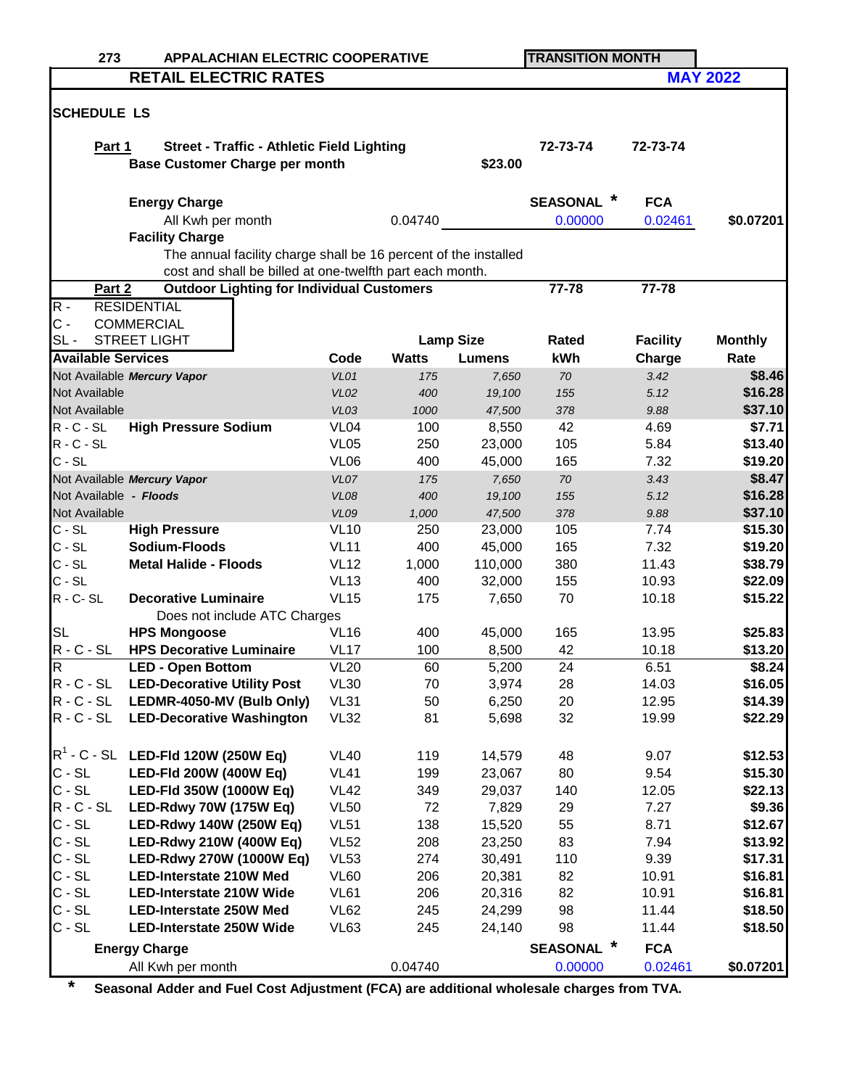| 273                                                             | <b>APPALACHIAN ELECTRIC COOPERATIVE</b>                         |                  |              |                  | <b>TRANSITION MONTH</b> |                 |                 |  |  |
|-----------------------------------------------------------------|-----------------------------------------------------------------|------------------|--------------|------------------|-------------------------|-----------------|-----------------|--|--|
|                                                                 | <b>RETAIL ELECTRIC RATES</b>                                    |                  |              |                  |                         |                 | <b>MAY 2022</b> |  |  |
|                                                                 |                                                                 |                  |              |                  |                         |                 |                 |  |  |
| <b>SCHEDULE LS</b>                                              |                                                                 |                  |              |                  |                         |                 |                 |  |  |
| Part 1                                                          | <b>Street - Traffic - Athletic Field Lighting</b>               |                  |              |                  | 72-73-74                | 72-73-74        |                 |  |  |
|                                                                 | <b>Base Customer Charge per month</b>                           |                  |              | \$23.00          |                         |                 |                 |  |  |
|                                                                 |                                                                 |                  |              |                  |                         |                 |                 |  |  |
|                                                                 | <b>Energy Charge</b>                                            |                  |              |                  | <b>SEASONAL</b>         | <b>FCA</b>      |                 |  |  |
|                                                                 | All Kwh per month                                               |                  | 0.04740      |                  | 0.00000                 | 0.02461         | \$0.07201       |  |  |
|                                                                 | <b>Facility Charge</b>                                          |                  |              |                  |                         |                 |                 |  |  |
|                                                                 | The annual facility charge shall be 16 percent of the installed |                  |              |                  |                         |                 |                 |  |  |
|                                                                 | cost and shall be billed at one-twelfth part each month.        |                  |              |                  |                         |                 |                 |  |  |
| Part 2                                                          | <b>Outdoor Lighting for Individual Customers</b>                |                  |              |                  | 77-78                   | 77-78           |                 |  |  |
| $R -$                                                           | <b>RESIDENTIAL</b>                                              |                  |              |                  |                         |                 |                 |  |  |
| $C -$                                                           | <b>COMMERCIAL</b>                                               |                  |              |                  |                         |                 |                 |  |  |
| $SL -$                                                          | STREET LIGHT                                                    |                  |              | <b>Lamp Size</b> | Rated                   | <b>Facility</b> | <b>Monthly</b>  |  |  |
| <b>Available Services</b>                                       |                                                                 | Code             | <b>Watts</b> | <b>Lumens</b>    | kWh                     | Charge          | Rate            |  |  |
|                                                                 | Not Available Mercury Vapor                                     | VL01             | 175          | 7,650            | 70                      | 3.42            | \$8.46          |  |  |
| Not Available                                                   |                                                                 | <b>VL02</b>      | 400          | 19,100           | 155                     | 5.12            | \$16.28         |  |  |
| Not Available                                                   |                                                                 | VL03             | 1000         | 47,500           | 378                     | 9.88            | \$37.10         |  |  |
| $R - C - SL$                                                    | <b>High Pressure Sodium</b>                                     | VL <sub>04</sub> | 100          | 8,550            | 42                      | 4.69            | \$7.71          |  |  |
| $R - C - SL$                                                    |                                                                 | <b>VL05</b>      | 250          | 23,000           | 105                     | 5.84            | \$13.40         |  |  |
| $C - SL$                                                        |                                                                 | <b>VL06</b>      | 400          | 45,000           | 165                     | 7.32            | \$19.20         |  |  |
|                                                                 | Not Available Mercury Vapor                                     | VL07             | 175          | 7,650            | 70                      | 3.43            | \$8.47          |  |  |
| Not Available - Floods                                          |                                                                 | VLO8             | 400          | 19,100           | 155                     | 5.12            | \$16.28         |  |  |
| Not Available                                                   |                                                                 | VLO9             | 1,000        | 47,500           | 378                     | 9.88            | \$37.10         |  |  |
| $C - SL$                                                        | <b>High Pressure</b>                                            | <b>VL10</b>      | 250          | 23,000           | 105                     | 7.74            | \$15.30         |  |  |
| $C - SL$                                                        | Sodium-Floods                                                   | <b>VL11</b>      | 400          | 45,000           | 165                     | 7.32            | \$19.20         |  |  |
| $C - SL$                                                        | <b>Metal Halide - Floods</b>                                    | <b>VL12</b>      | 1,000        | 110,000          | 380                     | 11.43           | \$38.79         |  |  |
| $C - SL$                                                        |                                                                 | <b>VL13</b>      | 400          | 32,000           | 155                     | 10.93           | \$22.09         |  |  |
| $R - C - SL$                                                    | <b>Decorative Luminaire</b>                                     | <b>VL15</b>      | 175          | 7,650            | 70                      | 10.18           | \$15.22         |  |  |
| <b>SL</b>                                                       | Does not include ATC Charges<br><b>HPS Mongoose</b>             | <b>VL16</b>      | 400          | 45,000           | 165                     | 13.95           | \$25.83         |  |  |
| $R - C - SL$                                                    | <b>HPS Decorative Luminaire</b>                                 | <b>VL17</b>      | 100          | 8,500            | 42                      | 10.18           | \$13.20         |  |  |
| IR.                                                             | <b>LED - Open Bottom</b>                                        | <b>VL20</b>      | 60           | 5,200            | 24                      | 6.51            | \$8.24          |  |  |
| $R - C - SL$                                                    | <b>LED-Decorative Utility Post</b>                              | <b>VL30</b>      | 70           | 3,974            | 28                      | 14.03           | \$16.05         |  |  |
| $R - C - SL$                                                    | LEDMR-4050-MV (Bulb Only)                                       | <b>VL31</b>      | 50           | 6,250            | 20                      | 12.95           | \$14.39         |  |  |
| $R - C - SL$                                                    | <b>LED-Decorative Washington</b>                                | <b>VL32</b>      | 81           | 5,698            | 32                      | 19.99           | \$22.29         |  |  |
|                                                                 |                                                                 |                  |              |                  |                         |                 |                 |  |  |
|                                                                 | $R^1$ - C - SL LED-FId 120W (250W Eq)                           | <b>VL40</b>      | 119          | 14,579           | 48                      | 9.07            | \$12.53         |  |  |
| $C - SL$                                                        | LED-Fld 200W (400W Eq)                                          | <b>VL41</b>      | 199          | 23,067           | 80                      | 9.54            | \$15.30         |  |  |
| $C - SL$                                                        | LED-Fld 350W (1000W Eq)                                         | <b>VL42</b>      | 349          | 29,037           | 140                     | 12.05           | \$22.13         |  |  |
| $R - C - SL$                                                    | LED-Rdwy 70W (175W Eq)                                          | <b>VL50</b>      | 72           | 7,829            | 29                      | 7.27            | \$9.36          |  |  |
| $C - SL$                                                        | <b>LED-Rdwy 140W (250W Eq)</b>                                  | <b>VL51</b>      | 138          | 15,520           | 55                      | 8.71            | \$12.67         |  |  |
| $C - SL$                                                        | LED-Rdwy 210W (400W Eq)                                         | <b>VL52</b>      | 208          | 23,250           | 83                      | 7.94            | \$13.92         |  |  |
| $C - SL$                                                        | LED-Rdwy 270W (1000W Eq)                                        | <b>VL53</b>      | 274          | 30,491           | 110                     | 9.39            | \$17.31         |  |  |
| $C - SL$                                                        | <b>LED-Interstate 210W Med</b>                                  | VL60             | 206          | 20,381           | 82                      | 10.91           | \$16.81         |  |  |
| $C - SL$                                                        | <b>LED-Interstate 210W Wide</b>                                 | <b>VL61</b>      | 206          | 20,316           | 82                      | 10.91           | \$16.81         |  |  |
| $C - SL$                                                        | <b>LED-Interstate 250W Med</b>                                  | <b>VL62</b>      | 245          | 24,299           | 98                      | 11.44           | \$18.50         |  |  |
| $C - SL$                                                        | <b>LED-Interstate 250W Wide</b>                                 | VL63             | 245          | 24,140           | 98                      | 11.44           | \$18.50         |  |  |
| $\ast$<br><b>SEASONAL</b><br><b>FCA</b><br><b>Energy Charge</b> |                                                                 |                  |              |                  |                         |                 |                 |  |  |
|                                                                 | All Kwh per month                                               |                  | 0.04740      |                  | 0.00000                 | 0.02461         | \$0.07201       |  |  |

**\* Seasonal Adder and Fuel Cost Adjustment (FCA) are additional wholesale charges from TVA.**